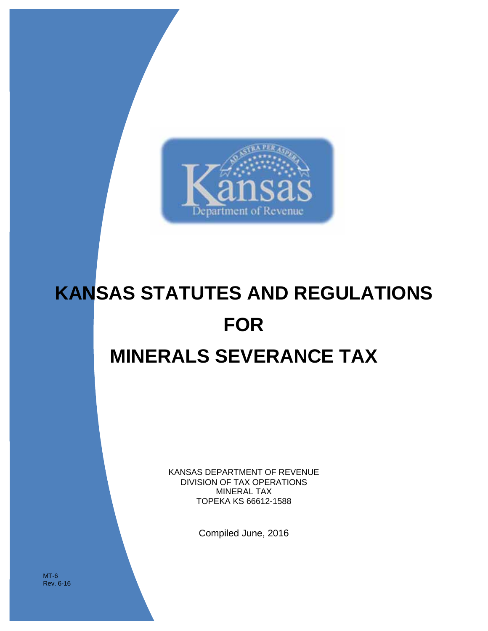

# **KANSAS STATUTES AND REGULATIONS FOR MINERALS SEVERANCE TAX**

KANSAS DEPARTMENT OF REVENUE DIVISION OF TAX OPERATIONS MINERAL TAX TOPEKA KS 66612-1588

Compiled June, 2016

MT-6 Rev. 6-16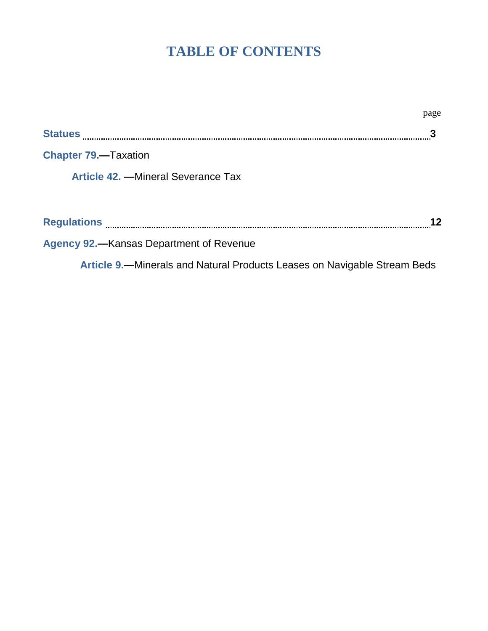# **TABLE OF CONTENTS**

|                                                                          | page |
|--------------------------------------------------------------------------|------|
|                                                                          |      |
| <b>Chapter 79.</b> —Taxation                                             |      |
| <b>Article 42.</b> - Mineral Severance Tax                               |      |
|                                                                          | 12   |
| <b>Agency 92.—Kansas Department of Revenue</b>                           |      |
| Article 9.—Minerals and Natural Products Leases on Navigable Stream Beds |      |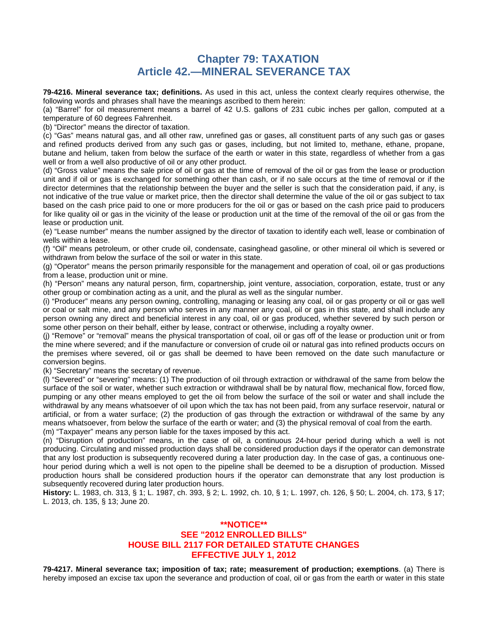## **Chapter 79: TAXATION Article 42.—MINERAL SEVERANCE TAX**

**79-4216. Mineral severance tax; definitions.** As used in this act, unless the context clearly requires otherwise, the following words and phrases shall have the meanings ascribed to them herein:

(a) "Barrel" for oil measurement means a barrel of 42 U.S. gallons of 231 cubic inches per gallon, computed at a temperature of 60 degrees Fahrenheit.

(b) "Director" means the director of taxation.

(c) "Gas" means natural gas, and all other raw, unrefined gas or gases, all constituent parts of any such gas or gases and refined products derived from any such gas or gases, including, but not limited to, methane, ethane, propane, butane and helium, taken from below the surface of the earth or water in this state, regardless of whether from a gas well or from a well also productive of oil or any other product.

(d) "Gross value" means the sale price of oil or gas at the time of removal of the oil or gas from the lease or production unit and if oil or gas is exchanged for something other than cash, or if no sale occurs at the time of removal or if the director determines that the relationship between the buyer and the seller is such that the consideration paid, if any, is not indicative of the true value or market price, then the director shall determine the value of the oil or gas subject to tax based on the cash price paid to one or more producers for the oil or gas or based on the cash price paid to producers for like quality oil or gas in the vicinity of the lease or production unit at the time of the removal of the oil or gas from the lease or production unit.

(e) "Lease number" means the number assigned by the director of taxation to identify each well, lease or combination of wells within a lease.

(f) "Oil" means petroleum, or other crude oil, condensate, casinghead gasoline, or other mineral oil which is severed or withdrawn from below the surface of the soil or water in this state.

(g) "Operator" means the person primarily responsible for the management and operation of coal, oil or gas productions from a lease, production unit or mine.

(h) "Person" means any natural person, firm, copartnership, joint venture, association, corporation, estate, trust or any other group or combination acting as a unit, and the plural as well as the singular number.

(i) "Producer" means any person owning, controlling, managing or leasing any coal, oil or gas property or oil or gas well or coal or salt mine, and any person who serves in any manner any coal, oil or gas in this state, and shall include any person owning any direct and beneficial interest in any coal, oil or gas produced, whether severed by such person or some other person on their behalf, either by lease, contract or otherwise, including a royalty owner.

(j) "Remove" or "removal" means the physical transportation of coal, oil or gas off of the lease or production unit or from the mine where severed; and if the manufacture or conversion of crude oil or natural gas into refined products occurs on the premises where severed, oil or gas shall be deemed to have been removed on the date such manufacture or conversion begins.

(k) "Secretary" means the secretary of revenue.

(l) "Severed" or "severing" means: (1) The production of oil through extraction or withdrawal of the same from below the surface of the soil or water, whether such extraction or withdrawal shall be by natural flow, mechanical flow, forced flow, pumping or any other means employed to get the oil from below the surface of the soil or water and shall include the withdrawal by any means whatsoever of oil upon which the tax has not been paid, from any surface reservoir, natural or artificial, or from a water surface; (2) the production of gas through the extraction or withdrawal of the same by any means whatsoever, from below the surface of the earth or water; and (3) the physical removal of coal from the earth. (m) "Taxpayer" means any person liable for the taxes imposed by this act.

(n) "Disruption of production" means, in the case of oil, a continuous 24-hour period during which a well is not producing. Circulating and missed production days shall be considered production days if the operator can demonstrate that any lost production is subsequently recovered during a later production day. In the case of gas, a continuous onehour period during which a well is not open to the pipeline shall be deemed to be a disruption of production. Missed production hours shall be considered production hours if the operator can demonstrate that any lost production is subsequently recovered during later production hours.

**History:** L. 1983, ch. 313, § 1; L. 1987, ch. 393, § 2; L. 1992, ch. 10, § 1; L. 1997, ch. 126, § 50; L. 2004, ch. 173, § 17; L. 2013, ch. 135, § 13; June 20.

#### **\*\*NOTICE\*\* SEE "2012 ENROLLED BILLS" HOUSE BILL 2117 FOR DETAILED STATUTE CHANGES EFFECTIVE JULY 1, 2012**

**79-4217. Mineral severance tax; imposition of tax; rate; measurement of production; exemptions**. (a) There is hereby imposed an excise tax upon the severance and production of coal, oil or gas from the earth or water in this state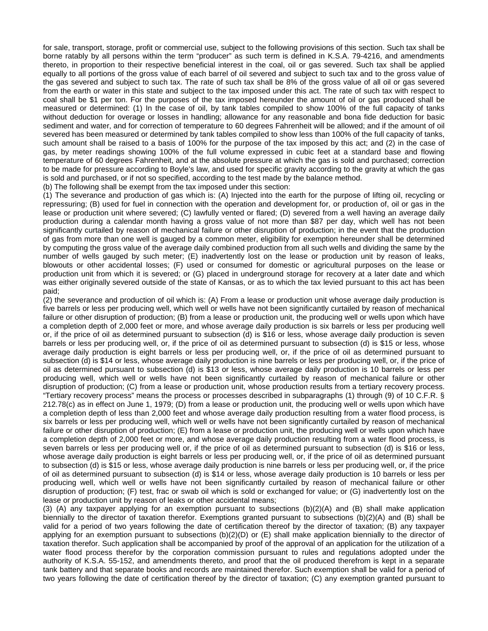for sale, transport, storage, profit or commercial use, subject to the following provisions of this section. Such tax shall be borne ratably by all persons within the term "producer" as such term is defined in K.S.A. 79-4216, and amendments thereto, in proportion to their respective beneficial interest in the coal, oil or gas severed. Such tax shall be applied equally to all portions of the gross value of each barrel of oil severed and subject to such tax and to the gross value of the gas severed and subject to such tax. The rate of such tax shall be 8% of the gross value of all oil or gas severed from the earth or water in this state and subject to the tax imposed under this act. The rate of such tax with respect to coal shall be \$1 per ton. For the purposes of the tax imposed hereunder the amount of oil or gas produced shall be measured or determined: (1) In the case of oil, by tank tables compiled to show 100% of the full capacity of tanks without deduction for overage or losses in handling; allowance for any reasonable and bona fide deduction for basic sediment and water, and for correction of temperature to 60 degrees Fahrenheit will be allowed; and if the amount of oil severed has been measured or determined by tank tables compiled to show less than 100% of the full capacity of tanks, such amount shall be raised to a basis of 100% for the purpose of the tax imposed by this act; and (2) in the case of gas, by meter readings showing 100% of the full volume expressed in cubic feet at a standard base and flowing temperature of 60 degrees Fahrenheit, and at the absolute pressure at which the gas is sold and purchased; correction to be made for pressure according to Boyle's law, and used for specific gravity according to the gravity at which the gas is sold and purchased, or if not so specified, according to the test made by the balance method.

(b) The following shall be exempt from the tax imposed under this section:

(1) The severance and production of gas which is: (A) Injected into the earth for the purpose of lifting oil, recycling or repressuring; (B) used for fuel in connection with the operation and development for, or production of, oil or gas in the lease or production unit where severed; (C) lawfully vented or flared; (D) severed from a well having an average daily production during a calendar month having a gross value of not more than \$87 per day, which well has not been significantly curtailed by reason of mechanical failure or other disruption of production; in the event that the production of gas from more than one well is gauged by a common meter, eligibility for exemption hereunder shall be determined by computing the gross value of the average daily combined production from all such wells and dividing the same by the number of wells gauged by such meter; (E) inadvertently lost on the lease or production unit by reason of leaks, blowouts or other accidental losses; (F) used or consumed for domestic or agricultural purposes on the lease or production unit from which it is severed; or (G) placed in underground storage for recovery at a later date and which was either originally severed outside of the state of Kansas, or as to which the tax levied pursuant to this act has been paid;

(2) the severance and production of oil which is: (A) From a lease or production unit whose average daily production is five barrels or less per producing well, which well or wells have not been significantly curtailed by reason of mechanical failure or other disruption of production; (B) from a lease or production unit, the producing well or wells upon which have a completion depth of 2,000 feet or more, and whose average daily production is six barrels or less per producing well or, if the price of oil as determined pursuant to subsection (d) is \$16 or less, whose average daily production is seven barrels or less per producing well, or, if the price of oil as determined pursuant to subsection (d) is \$15 or less, whose average daily production is eight barrels or less per producing well, or, if the price of oil as determined pursuant to subsection (d) is \$14 or less, whose average daily production is nine barrels or less per producing well, or, if the price of oil as determined pursuant to subsection (d) is \$13 or less, whose average daily production is 10 barrels or less per producing well, which well or wells have not been significantly curtailed by reason of mechanical failure or other disruption of production; (C) from a lease or production unit, whose production results from a tertiary recovery process. "Tertiary recovery process" means the process or processes described in subparagraphs (1) through (9) of 10 C.F.R. § 212.78(c) as in effect on June 1, 1979; (D) from a lease or production unit, the producing well or wells upon which have a completion depth of less than 2,000 feet and whose average daily production resulting from a water flood process, is six barrels or less per producing well, which well or wells have not been significantly curtailed by reason of mechanical failure or other disruption of production; (E) from a lease or production unit, the producing well or wells upon which have a completion depth of 2,000 feet or more, and whose average daily production resulting from a water flood process, is seven barrels or less per producing well or, if the price of oil as determined pursuant to subsection (d) is \$16 or less, whose average daily production is eight barrels or less per producing well, or, if the price of oil as determined pursuant to subsection (d) is \$15 or less, whose average daily production is nine barrels or less per producing well, or, if the price of oil as determined pursuant to subsection (d) is \$14 or less, whose average daily production is 10 barrels or less per producing well, which well or wells have not been significantly curtailed by reason of mechanical failure or other disruption of production; (F) test, frac or swab oil which is sold or exchanged for value; or (G) inadvertently lost on the lease or production unit by reason of leaks or other accidental means;

(3) (A) any taxpayer applying for an exemption pursuant to subsections (b)(2)(A) and (B) shall make application biennially to the director of taxation therefor. Exemptions granted pursuant to subsections (b)(2)(A) and (B) shall be valid for a period of two years following the date of certification thereof by the director of taxation; (B) any taxpayer applying for an exemption pursuant to subsections (b)(2)(D) or (E) shall make application biennially to the director of taxation therefor. Such application shall be accompanied by proof of the approval of an application for the utilization of a water flood process therefor by the corporation commission pursuant to rules and regulations adopted under the authority of K.S.A. 55-152, and amendments thereto, and proof that the oil produced therefrom is kept in a separate tank battery and that separate books and records are maintained therefor. Such exemption shall be valid for a period of two years following the date of certification thereof by the director of taxation; (C) any exemption granted pursuant to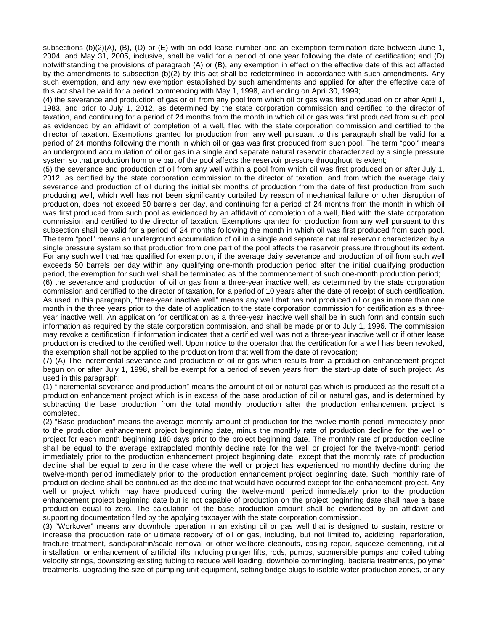subsections (b)(2)(A), (B), (D) or (E) with an odd lease number and an exemption termination date between June 1, 2004, and May 31, 2005, inclusive, shall be valid for a period of one year following the date of certification; and (D) notwithstanding the provisions of paragraph (A) or (B), any exemption in effect on the effective date of this act affected by the amendments to subsection (b)(2) by this act shall be redetermined in accordance with such amendments. Any such exemption, and any new exemption established by such amendments and applied for after the effective date of this act shall be valid for a period commencing with May 1, 1998, and ending on April 30, 1999;

(4) the severance and production of gas or oil from any pool from which oil or gas was first produced on or after April 1, 1983, and prior to July 1, 2012, as determined by the state corporation commission and certified to the director of taxation, and continuing for a period of 24 months from the month in which oil or gas was first produced from such pool as evidenced by an affidavit of completion of a well, filed with the state corporation commission and certified to the director of taxation. Exemptions granted for production from any well pursuant to this paragraph shall be valid for a period of 24 months following the month in which oil or gas was first produced from such pool. The term "pool" means an underground accumulation of oil or gas in a single and separate natural reservoir characterized by a single pressure system so that production from one part of the pool affects the reservoir pressure throughout its extent;

(5) the severance and production of oil from any well within a pool from which oil was first produced on or after July 1, 2012, as certified by the state corporation commission to the director of taxation, and from which the average daily severance and production of oil during the initial six months of production from the date of first production from such producing well, which well has not been significantly curtailed by reason of mechanical failure or other disruption of production, does not exceed 50 barrels per day, and continuing for a period of 24 months from the month in which oil was first produced from such pool as evidenced by an affidavit of completion of a well, filed with the state corporation commission and certified to the director of taxation. Exemptions granted for production from any well pursuant to this subsection shall be valid for a period of 24 months following the month in which oil was first produced from such pool. The term "pool" means an underground accumulation of oil in a single and separate natural reservoir characterized by a single pressure system so that production from one part of the pool affects the reservoir pressure throughout its extent. For any such well that has qualified for exemption, if the average daily severance and production of oil from such well exceeds 50 barrels per day within any qualifying one-month production period after the initial qualifying production period, the exemption for such well shall be terminated as of the commencement of such one-month production period;

(6) the severance and production of oil or gas from a three-year inactive well, as determined by the state corporation commission and certified to the director of taxation, for a period of 10 years after the date of receipt of such certification. As used in this paragraph, "three-year inactive well" means any well that has not produced oil or gas in more than one month in the three years prior to the date of application to the state corporation commission for certification as a threeyear inactive well. An application for certification as a three-year inactive well shall be in such form and contain such information as required by the state corporation commission, and shall be made prior to July 1, 1996. The commission may revoke a certification if information indicates that a certified well was not a three-year inactive well or if other lease production is credited to the certified well. Upon notice to the operator that the certification for a well has been revoked, the exemption shall not be applied to the production from that well from the date of revocation;

(7) (A) The incremental severance and production of oil or gas which results from a production enhancement project begun on or after July 1, 1998, shall be exempt for a period of seven years from the start-up date of such project. As used in this paragraph:

(1) "Incremental severance and production" means the amount of oil or natural gas which is produced as the result of a production enhancement project which is in excess of the base production of oil or natural gas, and is determined by subtracting the base production from the total monthly production after the production enhancement project is completed.

(2) "Base production" means the average monthly amount of production for the twelve-month period immediately prior to the production enhancement project beginning date, minus the monthly rate of production decline for the well or project for each month beginning 180 days prior to the project beginning date. The monthly rate of production decline shall be equal to the average extrapolated monthly decline rate for the well or project for the twelve-month period immediately prior to the production enhancement project beginning date, except that the monthly rate of production decline shall be equal to zero in the case where the well or project has experienced no monthly decline during the twelve-month period immediately prior to the production enhancement project beginning date. Such monthly rate of production decline shall be continued as the decline that would have occurred except for the enhancement project. Any well or project which may have produced during the twelve-month period immediately prior to the production enhancement project beginning date but is not capable of production on the project beginning date shall have a base production equal to zero. The calculation of the base production amount shall be evidenced by an affidavit and supporting documentation filed by the applying taxpayer with the state corporation commission.

(3) "Workover" means any downhole operation in an existing oil or gas well that is designed to sustain, restore or increase the production rate or ultimate recovery of oil or gas, including, but not limited to, acidizing, reperforation, fracture treatment, sand/paraffin/scale removal or other wellbore cleanouts, casing repair, squeeze cementing, initial installation, or enhancement of artificial lifts including plunger lifts, rods, pumps, submersible pumps and coiled tubing velocity strings, downsizing existing tubing to reduce well loading, downhole commingling, bacteria treatments, polymer treatments, upgrading the size of pumping unit equipment, setting bridge plugs to isolate water production zones, or any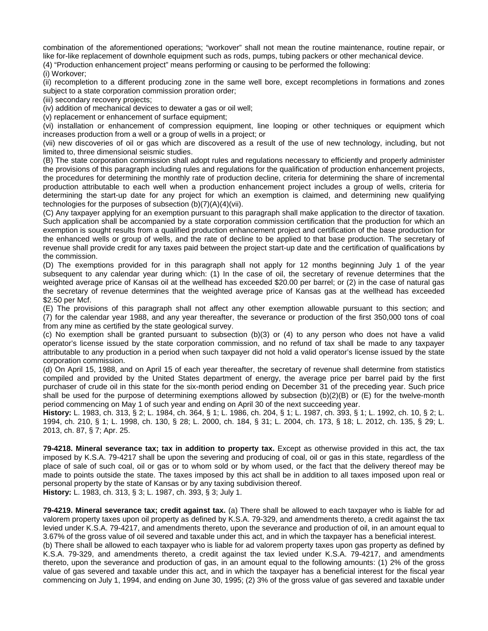combination of the aforementioned operations; "workover" shall not mean the routine maintenance, routine repair, or like for-like replacement of downhole equipment such as rods, pumps, tubing packers or other mechanical device.

(4) "Production enhancement project" means performing or causing to be performed the following:

(i) Workover;

(ii) recompletion to a different producing zone in the same well bore, except recompletions in formations and zones subject to a state corporation commission proration order;

(iii) secondary recovery projects;

(iv) addition of mechanical devices to dewater a gas or oil well;

(v) replacement or enhancement of surface equipment;

(vi) installation or enhancement of compression equipment, line looping or other techniques or equipment which increases production from a well or a group of wells in a project; or

(vii) new discoveries of oil or gas which are discovered as a result of the use of new technology, including, but not limited to, three dimensional seismic studies.

(B) The state corporation commission shall adopt rules and regulations necessary to efficiently and properly administer the provisions of this paragraph including rules and regulations for the qualification of production enhancement projects, the procedures for determining the monthly rate of production decline, criteria for determining the share of incremental production attributable to each well when a production enhancement project includes a group of wells, criteria for determining the start-up date for any project for which an exemption is claimed, and determining new qualifying technologies for the purposes of subsection (b)(7)(A)(4)(vii).

(C) Any taxpayer applying for an exemption pursuant to this paragraph shall make application to the director of taxation. Such application shall be accompanied by a state corporation commission certification that the production for which an exemption is sought results from a qualified production enhancement project and certification of the base production for the enhanced wells or group of wells, and the rate of decline to be applied to that base production. The secretary of revenue shall provide credit for any taxes paid between the project start-up date and the certification of qualifications by the commission.

(D) The exemptions provided for in this paragraph shall not apply for 12 months beginning July 1 of the year subsequent to any calendar year during which: (1) In the case of oil, the secretary of revenue determines that the weighted average price of Kansas oil at the wellhead has exceeded \$20.00 per barrel; or (2) in the case of natural gas the secretary of revenue determines that the weighted average price of Kansas gas at the wellhead has exceeded \$2.50 per Mcf.

(E) The provisions of this paragraph shall not affect any other exemption allowable pursuant to this section; and (7) for the calendar year 1988, and any year thereafter, the severance or production of the first 350,000 tons of coal from any mine as certified by the state geological survey.

(c) No exemption shall be granted pursuant to subsection (b)(3) or (4) to any person who does not have a valid operator's license issued by the state corporation commission, and no refund of tax shall be made to any taxpayer attributable to any production in a period when such taxpayer did not hold a valid operator's license issued by the state corporation commission.

(d) On April 15, 1988, and on April 15 of each year thereafter, the secretary of revenue shall determine from statistics compiled and provided by the United States department of energy, the average price per barrel paid by the first purchaser of crude oil in this state for the six-month period ending on December 31 of the preceding year. Such price shall be used for the purpose of determining exemptions allowed by subsection (b)(2)(B) or (E) for the twelve-month period commencing on May 1 of such year and ending on April 30 of the next succeeding year.

**History:** L. 1983, ch. 313, § 2; L. 1984, ch. 364, § 1; L. 1986, ch. 204, § 1; L. 1987, ch. 393, § 1; L. 1992, ch. 10, § 2; L. 1994, ch. 210, § 1; L. 1998, ch. 130, § 28; L. 2000, ch. 184, § 31; L. 2004, ch. 173, § 18; L. 2012, ch. 135, § 29; L. 2013, ch. 87, § 7; Apr. 25.

**79-4218. Mineral severance tax; tax in addition to property tax.** Except as otherwise provided in this act, the tax imposed by K.S.A. 79-4217 shall be upon the severing and producing of coal, oil or gas in this state, regardless of the place of sale of such coal, oil or gas or to whom sold or by whom used, or the fact that the delivery thereof may be made to points outside the state. The taxes imposed by this act shall be in addition to all taxes imposed upon real or personal property by the state of Kansas or by any taxing subdivision thereof. **History:** L. 1983, ch. 313, § 3; L. 1987, ch. 393, § 3; July 1.

**79-4219. Mineral severance tax; credit against tax.** (a) There shall be allowed to each taxpayer who is liable for ad valorem property taxes upon oil property as defined by K.S.A. 79-329, and amendments thereto, a credit against the tax levied under K.S.A. 79-4217, and amendments thereto, upon the severance and production of oil, in an amount equal to 3.67% of the gross value of oil severed and taxable under this act, and in which the taxpayer has a beneficial interest.

(b) There shall be allowed to each taxpayer who is liable for ad valorem property taxes upon gas property as defined by K.S.A. 79-329, and amendments thereto, a credit against the tax levied under K.S.A. 79-4217, and amendments thereto, upon the severance and production of gas, in an amount equal to the following amounts: (1) 2% of the gross value of gas severed and taxable under this act, and in which the taxpayer has a beneficial interest for the fiscal year commencing on July 1, 1994, and ending on June 30, 1995; (2) 3% of the gross value of gas severed and taxable under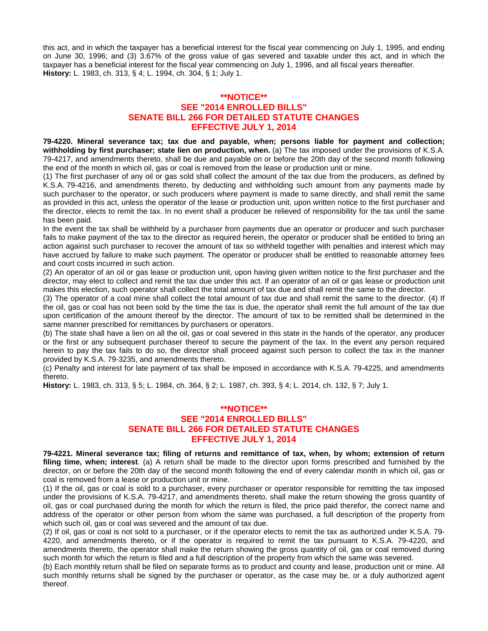this act, and in which the taxpayer has a beneficial interest for the fiscal year commencing on July 1, 1995, and ending on June 30, 1996; and (3) 3.67% of the gross value of gas severed and taxable under this act, and in which the taxpayer has a beneficial interest for the fiscal year commencing on July 1, 1996, and all fiscal years thereafter. **History:** L. 1983, ch. 313, § 4; L. 1994, ch. 304, § 1; July 1.

#### **\*\*NOTICE\*\* SEE "2014 ENROLLED BILLS" SENATE BILL 266 FOR DETAILED STATUTE CHANGES EFFECTIVE JULY 1, 2014**

**79-4220. Mineral severance tax; tax due and payable, when; persons liable for payment and collection; withholding by first purchaser; state lien on production, when.** (a) The tax imposed under the provisions of K.S.A. 79-4217, and amendments thereto, shall be due and payable on or before the 20th day of the second month following the end of the month in which oil, gas or coal is removed from the lease or production unit or mine.

(1) The first purchaser of any oil or gas sold shall collect the amount of the tax due from the producers, as defined by K.S.A. 79-4216, and amendments thereto, by deducting and withholding such amount from any payments made by such purchaser to the operator, or such producers where payment is made to same directly, and shall remit the same as provided in this act, unless the operator of the lease or production unit, upon written notice to the first purchaser and the director, elects to remit the tax. In no event shall a producer be relieved of responsibility for the tax until the same has been paid.

In the event the tax shall be withheld by a purchaser from payments due an operator or producer and such purchaser fails to make payment of the tax to the director as required herein, the operator or producer shall be entitled to bring an action against such purchaser to recover the amount of tax so withheld together with penalties and interest which may have accrued by failure to make such payment. The operator or producer shall be entitled to reasonable attorney fees and court costs incurred in such action.

(2) An operator of an oil or gas lease or production unit, upon having given written notice to the first purchaser and the director, may elect to collect and remit the tax due under this act. If an operator of an oil or gas lease or production unit makes this election, such operator shall collect the total amount of tax due and shall remit the same to the director.

(3) The operator of a coal mine shall collect the total amount of tax due and shall remit the same to the director. (4) If the oil, gas or coal has not been sold by the time the tax is due, the operator shall remit the full amount of the tax due upon certification of the amount thereof by the director. The amount of tax to be remitted shall be determined in the same manner prescribed for remittances by purchasers or operators.

(b) The state shall have a lien on all the oil, gas or coal severed in this state in the hands of the operator, any producer or the first or any subsequent purchaser thereof to secure the payment of the tax. In the event any person required herein to pay the tax fails to do so, the director shall proceed against such person to collect the tax in the manner provided by K.S.A. 79-3235, and amendments thereto.

(c) Penalty and interest for late payment of tax shall be imposed in accordance with K.S.A. 79-4225, and amendments thereto.

**History:** L. 1983, ch. 313, § 5; L. 1984, ch. 364, § 2; L. 1987, ch. 393, § 4; L. 2014, ch. 132, § 7; July 1.

#### **\*\*NOTICE\*\* SEE "2014 ENROLLED BILLS" SENATE BILL 266 FOR DETAILED STATUTE CHANGES EFFECTIVE JULY 1, 2014**

**79-4221. Mineral severance tax; filing of returns and remittance of tax, when, by whom; extension of return filing time, when; interest**. (a) A return shall be made to the director upon forms prescribed and furnished by the director, on or before the 20th day of the second month following the end of every calendar month in which oil, gas or coal is removed from a lease or production unit or mine.

(1) If the oil, gas or coal is sold to a purchaser, every purchaser or operator responsible for remitting the tax imposed under the provisions of K.S.A. 79-4217, and amendments thereto, shall make the return showing the gross quantity of oil, gas or coal purchased during the month for which the return is filed, the price paid therefor, the correct name and address of the operator or other person from whom the same was purchased, a full description of the property from which such oil, gas or coal was severed and the amount of tax due.

(2) If oil, gas or coal is not sold to a purchaser, or if the operator elects to remit the tax as authorized under K.S.A. 79- 4220, and amendments thereto, or if the operator is required to remit the tax pursuant to K.S.A. 79-4220, and amendments thereto, the operator shall make the return showing the gross quantity of oil, gas or coal removed during such month for which the return is filed and a full description of the property from which the same was severed.

(b) Each monthly return shall be filed on separate forms as to product and county and lease, production unit or mine. All such monthly returns shall be signed by the purchaser or operator, as the case may be, or a duly authorized agent thereof.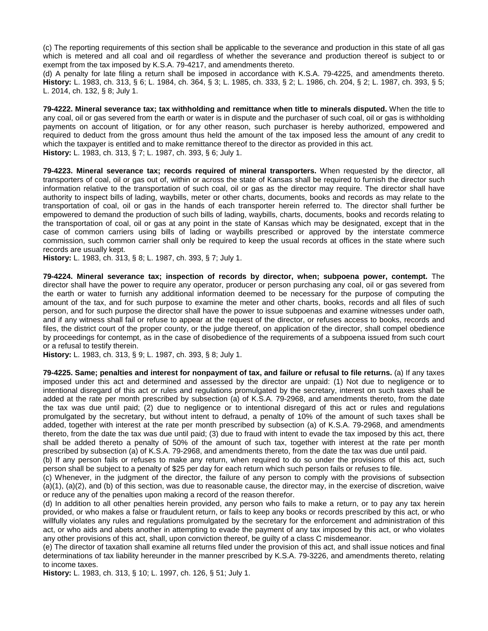(c) The reporting requirements of this section shall be applicable to the severance and production in this state of all gas which is metered and all coal and oil regardless of whether the severance and production thereof is subject to or exempt from the tax imposed by K.S.A. 79-4217, and amendments thereto.

(d) A penalty for late filing a return shall be imposed in accordance with K.S.A. 79-4225, and amendments thereto. **History:** L. 1983, ch. 313, § 6; L. 1984, ch. 364, § 3; L. 1985, ch. 333, § 2; L. 1986, ch. 204, § 2; L. 1987, ch. 393, § 5; L. 2014, ch. 132, § 8; July 1.

**79-4222. Mineral severance tax; tax withholding and remittance when title to minerals disputed.** When the title to any coal, oil or gas severed from the earth or water is in dispute and the purchaser of such coal, oil or gas is withholding payments on account of litigation, or for any other reason, such purchaser is hereby authorized, empowered and required to deduct from the gross amount thus held the amount of the tax imposed less the amount of any credit to which the taxpayer is entitled and to make remittance thereof to the director as provided in this act. **History:** L. 1983, ch. 313, § 7; L. 1987, ch. 393, § 6; July 1.

**79-4223. Mineral severance tax; records required of mineral transporters.** When requested by the director, all transporters of coal, oil or gas out of, within or across the state of Kansas shall be required to furnish the director such information relative to the transportation of such coal, oil or gas as the director may require. The director shall have authority to inspect bills of lading, waybills, meter or other charts, documents, books and records as may relate to the transportation of coal, oil or gas in the hands of each transporter herein referred to. The director shall further be empowered to demand the production of such bills of lading, waybills, charts, documents, books and records relating to the transportation of coal, oil or gas at any point in the state of Kansas which may be designated, except that in the case of common carriers using bills of lading or waybills prescribed or approved by the interstate commerce commission, such common carrier shall only be required to keep the usual records at offices in the state where such records are usually kept.

**History:** L. 1983, ch. 313, § 8; L. 1987, ch. 393, § 7; July 1.

**79-4224. Mineral severance tax; inspection of records by director, when; subpoena power, contempt.** The director shall have the power to require any operator, producer or person purchasing any coal, oil or gas severed from the earth or water to furnish any additional information deemed to be necessary for the purpose of computing the amount of the tax, and for such purpose to examine the meter and other charts, books, records and all files of such person, and for such purpose the director shall have the power to issue subpoenas and examine witnesses under oath, and if any witness shall fail or refuse to appear at the request of the director, or refuses access to books, records and files, the district court of the proper county, or the judge thereof, on application of the director, shall compel obedience by proceedings for contempt, as in the case of disobedience of the requirements of a subpoena issued from such court or a refusal to testify therein.

**History:** L. 1983, ch. 313, § 9; L. 1987, ch. 393, § 8; July 1.

**79-4225. Same; penalties and interest for nonpayment of tax, and failure or refusal to file returns.** (a) If any taxes imposed under this act and determined and assessed by the director are unpaid: (1) Not due to negligence or to intentional disregard of this act or rules and regulations promulgated by the secretary, interest on such taxes shall be added at the rate per month prescribed by subsection (a) of K.S.A. 79-2968, and amendments thereto, from the date the tax was due until paid; (2) due to negligence or to intentional disregard of this act or rules and regulations promulgated by the secretary, but without intent to defraud, a penalty of 10% of the amount of such taxes shall be added, together with interest at the rate per month prescribed by subsection (a) of K.S.A. 79-2968, and amendments thereto, from the date the tax was due until paid; (3) due to fraud with intent to evade the tax imposed by this act, there shall be added thereto a penalty of 50% of the amount of such tax, together with interest at the rate per month prescribed by subsection (a) of K.S.A. 79-2968, and amendments thereto, from the date the tax was due until paid.

(b) If any person fails or refuses to make any return, when required to do so under the provisions of this act, such person shall be subject to a penalty of \$25 per day for each return which such person fails or refuses to file.

(c) Whenever, in the judgment of the director, the failure of any person to comply with the provisions of subsection (a)(1), (a)(2), and (b) of this section, was due to reasonable cause, the director may, in the exercise of discretion, waive or reduce any of the penalties upon making a record of the reason therefor.

(d) In addition to all other penalties herein provided, any person who fails to make a return, or to pay any tax herein provided, or who makes a false or fraudulent return, or fails to keep any books or records prescribed by this act, or who willfully violates any rules and regulations promulgated by the secretary for the enforcement and administration of this act, or who aids and abets another in attempting to evade the payment of any tax imposed by this act, or who violates any other provisions of this act, shall, upon conviction thereof, be guilty of a class C misdemeanor.

(e) The director of taxation shall examine all returns filed under the provision of this act, and shall issue notices and final determinations of tax liability hereunder in the manner prescribed by K.S.A. 79-3226, and amendments thereto, relating to income taxes.

**History:** L. 1983, ch. 313, § 10; L. 1997, ch. 126, § 51; July 1.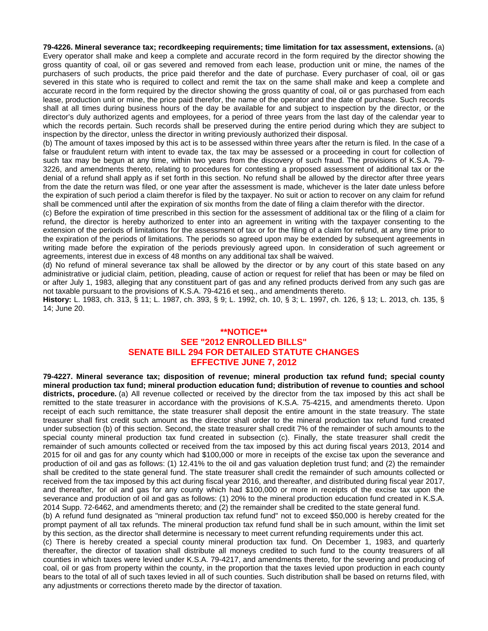**79-4226. Mineral severance tax; recordkeeping requirements; time limitation for tax assessment, extensions.** (a) Every operator shall make and keep a complete and accurate record in the form required by the director showing the gross quantity of coal, oil or gas severed and removed from each lease, production unit or mine, the names of the purchasers of such products, the price paid therefor and the date of purchase. Every purchaser of coal, oil or gas severed in this state who is required to collect and remit the tax on the same shall make and keep a complete and accurate record in the form required by the director showing the gross quantity of coal, oil or gas purchased from each lease, production unit or mine, the price paid therefor, the name of the operator and the date of purchase. Such records shall at all times during business hours of the day be available for and subject to inspection by the director, or the director's duly authorized agents and employees, for a period of three years from the last day of the calendar year to which the records pertain. Such records shall be preserved during the entire period during which they are subject to inspection by the director, unless the director in writing previously authorized their disposal.

(b) The amount of taxes imposed by this act is to be assessed within three years after the return is filed. In the case of a false or fraudulent return with intent to evade tax, the tax may be assessed or a proceeding in court for collection of such tax may be begun at any time, within two years from the discovery of such fraud. The provisions of K.S.A. 79- 3226, and amendments thereto, relating to procedures for contesting a proposed assessment of additional tax or the denial of a refund shall apply as if set forth in this section. No refund shall be allowed by the director after three years from the date the return was filed, or one year after the assessment is made, whichever is the later date unless before the expiration of such period a claim therefor is filed by the taxpayer. No suit or action to recover on any claim for refund shall be commenced until after the expiration of six months from the date of filing a claim therefor with the director.

(c) Before the expiration of time prescribed in this section for the assessment of additional tax or the filing of a claim for refund, the director is hereby authorized to enter into an agreement in writing with the taxpayer consenting to the extension of the periods of limitations for the assessment of tax or for the filing of a claim for refund, at any time prior to the expiration of the periods of limitations. The periods so agreed upon may be extended by subsequent agreements in writing made before the expiration of the periods previously agreed upon. In consideration of such agreement or agreements, interest due in excess of 48 months on any additional tax shall be waived.

(d) No refund of mineral severance tax shall be allowed by the director or by any court of this state based on any administrative or judicial claim, petition, pleading, cause of action or request for relief that has been or may be filed on or after July 1, 1983, alleging that any constituent part of gas and any refined products derived from any such gas are not taxable pursuant to the provisions of K.S.A. 79-4216 et seq., and amendments thereto.

**History:** L. 1983, ch. 313, § 11; L. 1987, ch. 393, § 9; L. 1992, ch. 10, § 3; L. 1997, ch. 126, § 13; L. 2013, ch. 135, § 14; June 20.

#### **\*\*NOTICE\*\* SEE "2012 ENROLLED BILLS" SENATE BILL 294 FOR DETAILED STATUTE CHANGES EFFECTIVE JUNE 7, 2012**

**79-4227. Mineral severance tax; disposition of revenue; mineral production tax refund fund; special county mineral production tax fund; mineral production education fund; distribution of revenue to counties and school districts, procedure.** (a) All revenue collected or received by the director from the tax imposed by this act shall be remitted to the state treasurer in accordance with the provisions of K.S.A. 75-4215, and amendments thereto. Upon receipt of each such remittance, the state treasurer shall deposit the entire amount in the state treasury. The state treasurer shall first credit such amount as the director shall order to the mineral production tax refund fund created under subsection (b) of this section. Second, the state treasurer shall credit 7% of the remainder of such amounts to the special county mineral production tax fund created in subsection (c). Finally, the state treasurer shall credit the remainder of such amounts collected or received from the tax imposed by this act during fiscal years 2013, 2014 and 2015 for oil and gas for any county which had \$100,000 or more in receipts of the excise tax upon the severance and production of oil and gas as follows: (1) 12.41% to the oil and gas valuation depletion trust fund; and (2) the remainder shall be credited to the state general fund. The state treasurer shall credit the remainder of such amounts collected or received from the tax imposed by this act during fiscal year 2016, and thereafter, and distributed during fiscal year 2017, and thereafter, for oil and gas for any county which had \$100,000 or more in receipts of the excise tax upon the severance and production of oil and gas as follows: (1) 20% to the mineral production education fund created in K.S.A. 2014 Supp. 72-6462, and amendments thereto; and (2) the remainder shall be credited to the state general fund.

(b) A refund fund designated as "mineral production tax refund fund" not to exceed \$50,000 is hereby created for the prompt payment of all tax refunds. The mineral production tax refund fund shall be in such amount, within the limit set by this section, as the director shall determine is necessary to meet current refunding requirements under this act.

(c) There is hereby created a special county mineral production tax fund. On December 1, 1983, and quarterly thereafter, the director of taxation shall distribute all moneys credited to such fund to the county treasurers of all counties in which taxes were levied under K.S.A. 79-4217, and amendments thereto, for the severing and producing of coal, oil or gas from property within the county, in the proportion that the taxes levied upon production in each county bears to the total of all of such taxes levied in all of such counties. Such distribution shall be based on returns filed, with any adjustments or corrections thereto made by the director of taxation.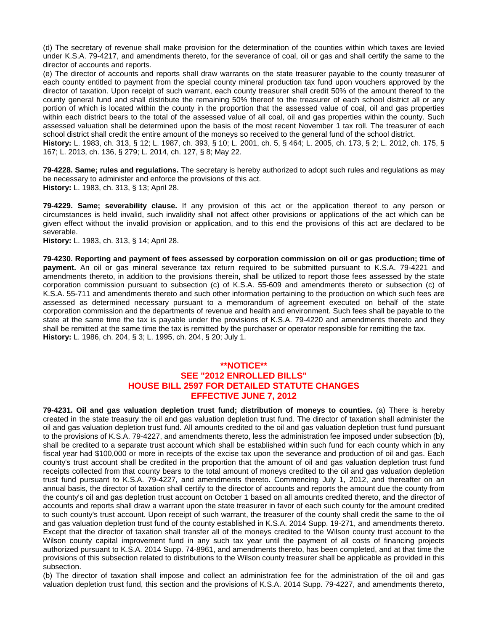(d) The secretary of revenue shall make provision for the determination of the counties within which taxes are levied under K.S.A. 79-4217, and amendments thereto, for the severance of coal, oil or gas and shall certify the same to the director of accounts and reports.

(e) The director of accounts and reports shall draw warrants on the state treasurer payable to the county treasurer of each county entitled to payment from the special county mineral production tax fund upon vouchers approved by the director of taxation. Upon receipt of such warrant, each county treasurer shall credit 50% of the amount thereof to the county general fund and shall distribute the remaining 50% thereof to the treasurer of each school district all or any portion of which is located within the county in the proportion that the assessed value of coal, oil and gas properties within each district bears to the total of the assessed value of all coal, oil and gas properties within the county. Such assessed valuation shall be determined upon the basis of the most recent November 1 tax roll. The treasurer of each school district shall credit the entire amount of the moneys so received to the general fund of the school district.

**History:** L. 1983, ch. 313, § 12; L. 1987, ch. 393, § 10; L. 2001, ch. 5, § 464; L. 2005, ch. 173, § 2; L. 2012, ch. 175, § 167; L. 2013, ch. 136, § 279; L. 2014, ch. 127, § 8; May 22.

**79-4228. Same; rules and regulations.** The secretary is hereby authorized to adopt such rules and regulations as may be necessary to administer and enforce the provisions of this act. **History:** L. 1983, ch. 313, § 13; April 28.

**79-4229. Same; severability clause.** If any provision of this act or the application thereof to any person or circumstances is held invalid, such invalidity shall not affect other provisions or applications of the act which can be given effect without the invalid provision or application, and to this end the provisions of this act are declared to be severable.

**History:** L. 1983, ch. 313, § 14; April 28.

**79-4230. Reporting and payment of fees assessed by corporation commission on oil or gas production; time of payment.** An oil or gas mineral severance tax return required to be submitted pursuant to K.S.A. 79-4221 and amendments thereto, in addition to the provisions therein, shall be utilized to report those fees assessed by the state corporation commission pursuant to subsection (c) of K.S.A. 55-609 and amendments thereto or subsection (c) of K.S.A. 55-711 and amendments thereto and such other information pertaining to the production on which such fees are assessed as determined necessary pursuant to a memorandum of agreement executed on behalf of the state corporation commission and the departments of revenue and health and environment. Such fees shall be payable to the state at the same time the tax is payable under the provisions of K.S.A. 79-4220 and amendments thereto and they shall be remitted at the same time the tax is remitted by the purchaser or operator responsible for remitting the tax. **History:** L. 1986, ch. 204, § 3; L. 1995, ch. 204, § 20; July 1.

#### **\*\*NOTICE\*\* SEE "2012 ENROLLED BILLS" HOUSE BILL 2597 FOR DETAILED STATUTE CHANGES EFFECTIVE JUNE 7, 2012**

**79-4231. Oil and gas valuation depletion trust fund; distribution of moneys to counties.** (a) There is hereby created in the state treasury the oil and gas valuation depletion trust fund. The director of taxation shall administer the oil and gas valuation depletion trust fund. All amounts credited to the oil and gas valuation depletion trust fund pursuant to the provisions of K.S.A. 79-4227, and amendments thereto, less the administration fee imposed under subsection (b), shall be credited to a separate trust account which shall be established within such fund for each county which in any fiscal year had \$100,000 or more in receipts of the excise tax upon the severance and production of oil and gas. Each county's trust account shall be credited in the proportion that the amount of oil and gas valuation depletion trust fund receipts collected from that county bears to the total amount of moneys credited to the oil and gas valuation depletion trust fund pursuant to K.S.A. 79-4227, and amendments thereto. Commencing July 1, 2012, and thereafter on an annual basis, the director of taxation shall certify to the director of accounts and reports the amount due the county from the county's oil and gas depletion trust account on October 1 based on all amounts credited thereto, and the director of accounts and reports shall draw a warrant upon the state treasurer in favor of each such county for the amount credited to such county's trust account. Upon receipt of such warrant, the treasurer of the county shall credit the same to the oil and gas valuation depletion trust fund of the county established in K.S.A. 2014 Supp. 19-271, and amendments thereto. Except that the director of taxation shall transfer all of the moneys credited to the Wilson county trust account to the Wilson county capital improvement fund in any such tax year until the payment of all costs of financing projects authorized pursuant to K.S.A. 2014 Supp. 74-8961, and amendments thereto, has been completed, and at that time the provisions of this subsection related to distributions to the Wilson county treasurer shall be applicable as provided in this subsection.

(b) The director of taxation shall impose and collect an administration fee for the administration of the oil and gas valuation depletion trust fund, this section and the provisions of K.S.A. 2014 Supp. 79-4227, and amendments thereto,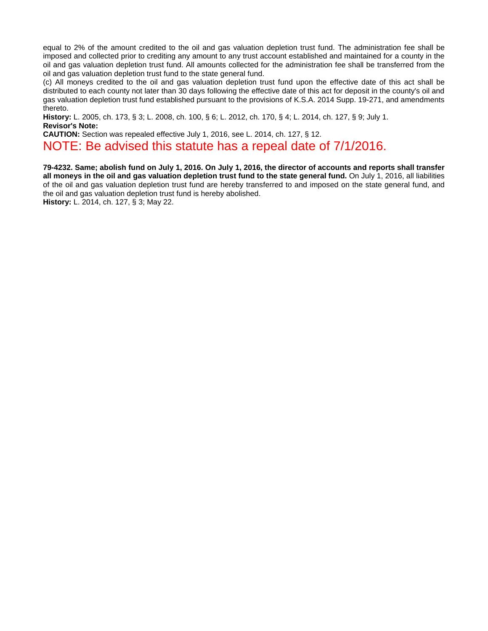equal to 2% of the amount credited to the oil and gas valuation depletion trust fund. The administration fee shall be imposed and collected prior to crediting any amount to any trust account established and maintained for a county in the oil and gas valuation depletion trust fund. All amounts collected for the administration fee shall be transferred from the oil and gas valuation depletion trust fund to the state general fund.

(c) All moneys credited to the oil and gas valuation depletion trust fund upon the effective date of this act shall be distributed to each county not later than 30 days following the effective date of this act for deposit in the county's oil and gas valuation depletion trust fund established pursuant to the provisions of K.S.A. 2014 Supp. 19-271, and amendments thereto.

**History:** L. 2005, ch. 173, § 3; L. 2008, ch. 100, § 6; L. 2012, ch. 170, § 4; L. 2014, ch. 127, § 9; July 1. **Revisor's Note:** 

**CAUTION:** Section was repealed effective July 1, 2016, see L. 2014, ch. 127, § 12.

NOTE: Be advised this statute has a repeal date of 7/1/2016.

**79-4232. Same; abolish fund on July 1, 2016. On July 1, 2016, the director of accounts and reports shall transfer all moneys in the oil and gas valuation depletion trust fund to the state general fund.** On July 1, 2016, all liabilities of the oil and gas valuation depletion trust fund are hereby transferred to and imposed on the state general fund, and the oil and gas valuation depletion trust fund is hereby abolished.

**History:** L. 2014, ch. 127, § 3; May 22.